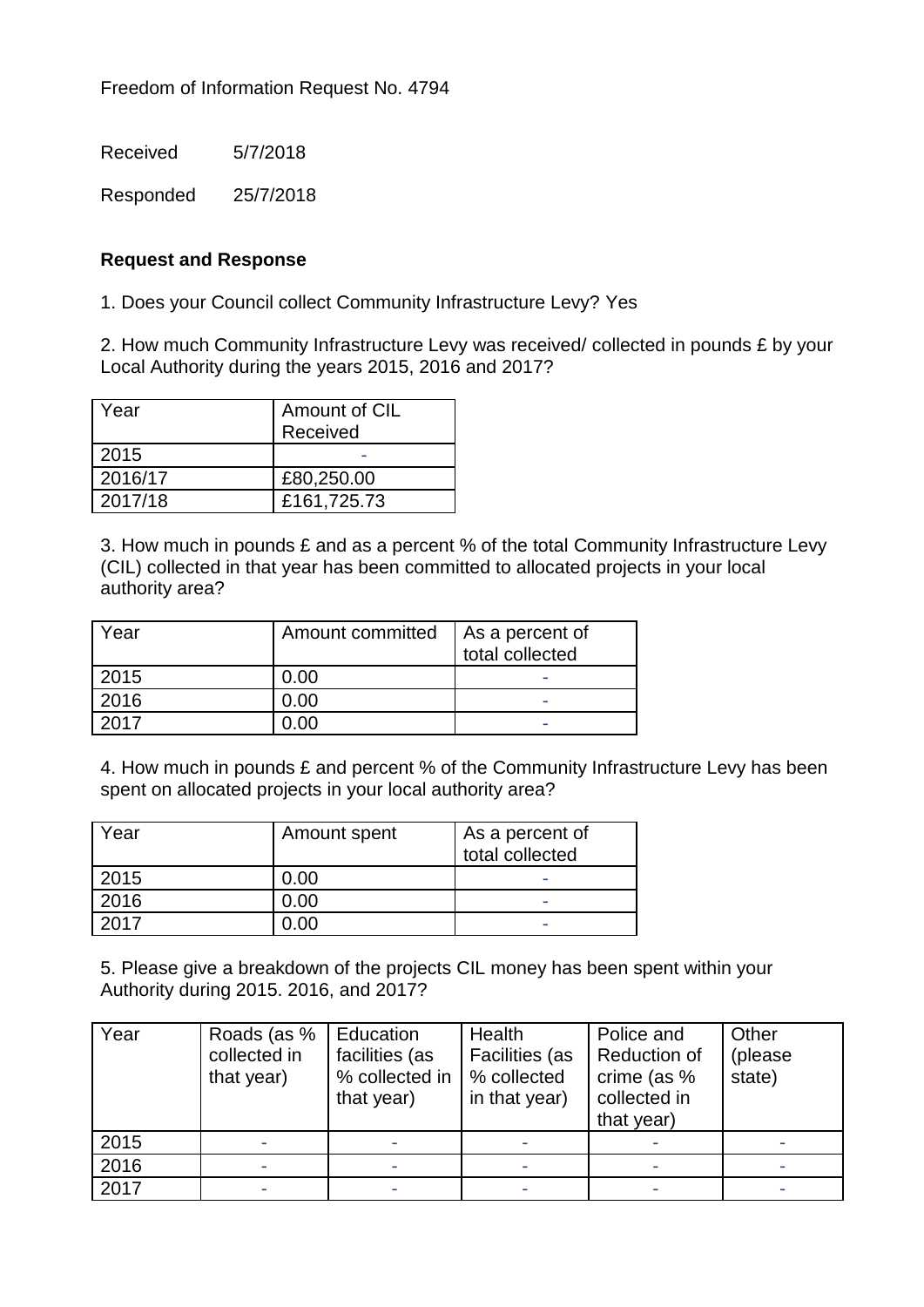Received 5/7/2018

Responded 25/7/2018

## **Request and Response**

1. Does your Council collect Community Infrastructure Levy? Yes

2. How much Community Infrastructure Levy was received/ collected in pounds £ by your Local Authority during the years 2015, 2016 and 2017?

| Year    | Amount of CIL<br>Received |
|---------|---------------------------|
| 2015    |                           |
| 2016/17 | £80,250.00                |
| 2017/18 | £161,725.73               |

3. How much in pounds £ and as a percent % of the total Community Infrastructure Levy (CIL) collected in that year has been committed to allocated projects in your local authority area?

| Year | Amount committed | As a percent of<br>total collected |
|------|------------------|------------------------------------|
| 2015 | 0.00             | I                                  |
| 2016 | 0.00             | $\overline{\phantom{0}}$           |
| 2017 |                  | $\overline{\phantom{0}}$           |

4. How much in pounds £ and percent % of the Community Infrastructure Levy has been spent on allocated projects in your local authority area?

| Year                | Amount spent | As a percent of<br>total collected |
|---------------------|--------------|------------------------------------|
| 2015                | 0.00         |                                    |
| 2016                | ).00         |                                    |
| $\bigcap_{i=1}^{n}$ |              |                                    |

5. Please give a breakdown of the projects CIL money has been spent within your Authority during 2015. 2016, and 2017?

| Year | Roads (as %  | Education      | Health         | Police and   | Other   |
|------|--------------|----------------|----------------|--------------|---------|
|      | collected in | facilities (as | Facilities (as | Reduction of | (please |
|      | that year)   | % collected in | % collected    | crime (as %  | state)  |
|      |              | that year)     | in that year)  | collected in |         |
|      |              |                |                | that year)   |         |
| 2015 |              |                |                |              |         |
| 2016 |              |                |                |              |         |
| 2017 |              |                |                |              |         |